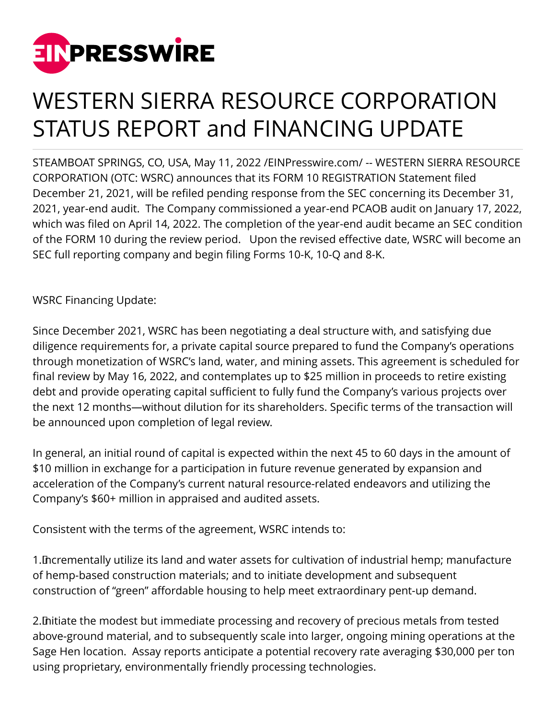

## WESTERN SIERRA RESOURCE CORPORATION STATUS REPORT and FINANCING UPDATE

STEAMBOAT SPRINGS, CO, USA, May 11, 2022 [/EINPresswire.com](http://www.einpresswire.com)/ -- WESTERN SIERRA RESOURCE CORPORATION (OTC: WSRC) announces that its FORM 10 REGISTRATION Statement filed December 21, 2021, will be refiled pending response from the SEC concerning its December 31, 2021, year-end audit. The Company commissioned a year-end PCAOB audit on January 17, 2022, which was filed on April 14, 2022. The completion of the year-end audit became an SEC condition of the FORM 10 during the review period. Upon the revised effective date, WSRC will become an SEC full reporting company and begin filing Forms 10-K, 10-Q and 8-K.

WSRC Financing Update:

Since December 2021, WSRC has been negotiating a deal structure with, and satisfying due diligence requirements for, a private capital source prepared to fund the Company's operations through monetization of WSRC's land, water, and mining assets. This agreement is scheduled for final review by May 16, 2022, and contemplates up to \$25 million in proceeds to retire existing debt and provide operating capital sufficient to fully fund the Company's various projects over the next 12 months—without dilution for its shareholders. Specific terms of the transaction will be announced upon completion of legal review.

In general, an initial round of capital is expected within the next 45 to 60 days in the amount of \$10 million in exchange for a participation in future revenue generated by expansion and acceleration of the Company's current natural resource-related endeavors and utilizing the Company's \$60+ million in appraised and audited assets.

Consistent with the terms of the agreement, WSRC intends to:

1. Incrementally utilize its land and water assets for cultivation of industrial hemp; manufacture of hemp-based construction materials; and to initiate development and subsequent construction of "green" affordable housing to help meet extraordinary pent-up demand.

2. Initiate the modest but immediate processing and recovery of precious metals from tested above-ground material, and to subsequently scale into larger, ongoing mining operations at the Sage Hen location. Assay reports anticipate a potential recovery rate averaging \$30,000 per ton using proprietary, environmentally friendly processing technologies.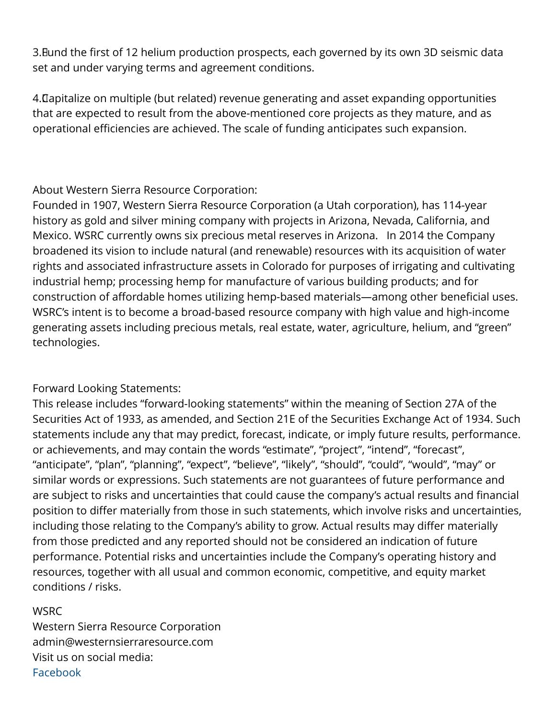3. Bund the first of 12 helium production prospects, each governed by its own 3D seismic data set and under varying terms and agreement conditions.

4. Capitalize on multiple (but related) revenue generating and asset expanding opportunities that are expected to result from the above-mentioned core projects as they mature, and as operational efficiencies are achieved. The scale of funding anticipates such expansion.

About Western Sierra Resource Corporation:

Founded in 1907, Western Sierra Resource Corporation (a Utah corporation), has 114-year history as gold and silver mining company with projects in Arizona, Nevada, California, and Mexico. WSRC currently owns six precious metal reserves in Arizona. In 2014 the Company broadened its vision to include natural (and renewable) resources with its acquisition of water rights and associated infrastructure assets in Colorado for purposes of irrigating and cultivating industrial hemp; processing hemp for manufacture of various building products; and for construction of affordable homes utilizing hemp-based materials—among other beneficial uses. WSRC's intent is to become a broad-based resource company with high value and high-income generating assets including precious metals, real estate, water, agriculture, helium, and "green" technologies.

## Forward Looking Statements:

This release includes "forward-looking statements" within the meaning of Section 27A of the Securities Act of 1933, as amended, and Section 21E of the Securities Exchange Act of 1934. Such statements include any that may predict, forecast, indicate, or imply future results, performance. or achievements, and may contain the words "estimate", "project", "intend", "forecast", "anticipate", "plan", "planning", "expect", "believe", "likely", "should", "could", "would", "may" or similar words or expressions. Such statements are not guarantees of future performance and are subject to risks and uncertainties that could cause the company's actual results and financial position to differ materially from those in such statements, which involve risks and uncertainties, including those relating to the Company's ability to grow. Actual results may differ materially from those predicted and any reported should not be considered an indication of future performance. Potential risks and uncertainties include the Company's operating history and resources, together with all usual and common economic, competitive, and equity market conditions / risks.

## **WSRC**

Western Sierra Resource Corporation admin@westernsierraresource.com Visit us on social media: [Facebook](https://facebook.com/WSRCorp)